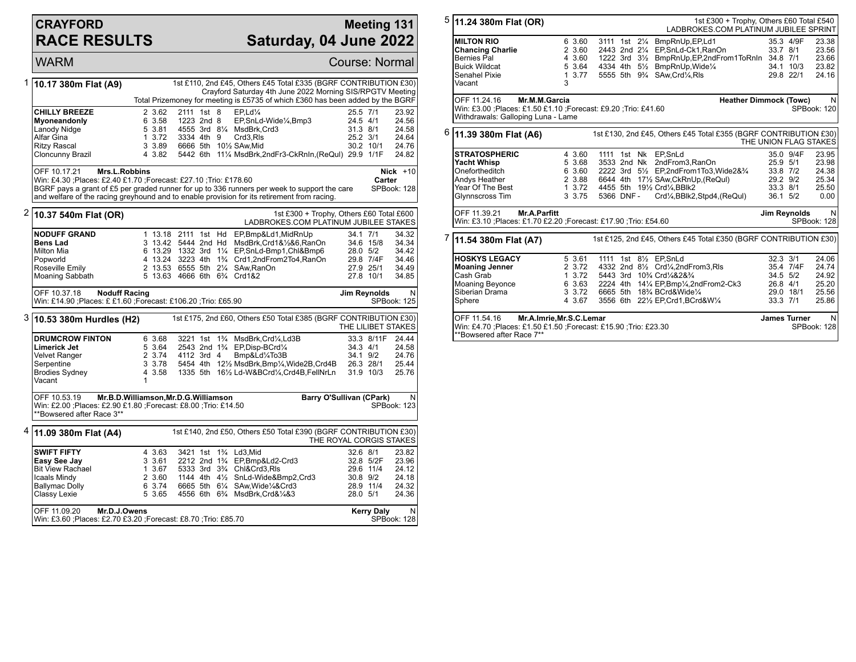## **CRAYFORD RACE RESULTS**

## **Meeting 131 Saturday, 04 June 2022**

WARM Course: Normal Material Course: Normal Material Course: Normal Course: Normal 1 **10.17 380m Flat (A9)** 1st £110, 2nd £45, Others £45 Total £335 (BGRF CONTRIBUTION £30) Crayford Saturday 4th June 2022 Morning SIS/RPGTV Meeting Total Prizemoney for meeting is £5735 of which £360 has been added by the BGRF **CHILLY BREEZE** 2 3.62 2111 1st 8 EP,Ld<sup>1</sup>/<sub>4</sub> 25.5 7/1 23.92<br> **Myoneandonly** 6 3.58 1223 2nd 8 EP,SnLd-Wide<sup>1</sup>/4,Bmp3 24.5 4/1 24.56 **Myoneandonly** 6 3.58 1223 2nd 8 EP, SnLd-Wide<sup>1</sup>/4, Bmp3 24.5 4/1 24.56<br>
Lanody Nidge 5 3.81 4555 3rd 8<sup>1</sup>/<sub>4</sub> MsdBrk, Crd3 31.3 8/1 24.58 Lanody Nidge 5 3.81 4555 3rd 8¼ MsdBrk,Crd3 31.3 8/1 24.58<br>Alfar Gina 3.72 3334 4th 9 Crd3,Rls 25.2 3/1 24.64 Alfar Gina 1 3.72 3334 4th 9 Crd3,Rls 25.2 3/1 24.64 Ritzy Rascal 3 3.89 6666 5th 10½ SAw,Mid 30.2 10/1 24.76 5442 6th 11¼ MsdBrk,2ndFr3-CkRnIn,(ReQul) 29.9 1/1F OFF 10.17.21 **Mrs.L.Robbins** Win: £4.30 ;Places: £2.40 £1.70 ;Forecast: £27.10 ;Trio: £178.60 BGRF pays a grant of £5 per graded runner for up to 336 runners per week to support the care and welfare of the racing greyhound and to enable provision for its retirement from racing. **Nick** +10 **Carter** SPBook: 128 2 **10.37 540m Flat (OR)** 1st £300 + Trophy, Others £60 Total £600 LADBROKES.COM PLATINUM JUBILEE STAKES **NODUFF GRAND** 1 13.18 2111 1st Hd EP,Bmp&Ld1,MidRnUp 34.1 7/1 34.32<br> **Bens Lad** 3 13.42 5444 2nd Hd MsdBrk.Crd1&%&6.RanOn 34.6 15/8 34.34 **Bens Lad** 3 13.42 5444 2nd Hd MsdBrk,Crd1&½&6,RanOn 34.6 15/8 34.34 Milton Mia 6 13.29 1332 3rd 11/<sub>4</sub> EP, SnLd-Bmp1, Chl&Bmp6 28.0 5/2 34.42<br>Popworld 4 13.24 3223 4th 1<sup>3</sup>/<sub>4</sub> Crd1, 2nd From 2To4, Ran On 29.8 7/4F 34.46 Popworld 4 13.24 3223 4th 1¾ Crd1,2ndFrom2To4,RanOn 29.8 7/4F 34.46 Roseville Emily 2 13.53 6555 5th 2¼ SAw,RanOn 27.9 25/1 34.49 5 13.63 4666 6th 6<sup>3</sup>/<sub>4</sub> Crd1&2 OFF 10.37.18 **Noduff Racing** Win: £14.90 ;Places: £ £1.60 ;Forecast: £106.20 ;Trio: £65.90 **Jim Reynolds** N SPBook: 125 3 **10.53 380m Hurdles (H2)** 1st £175, 2nd £60, Others £50 Total £385 (BGRF CONTRIBUTION £30) THE LILIBET STAKES **DRUMCROW FINTON** 6 3.68 3221 1st 1<sup>2</sup>/<sub>4</sub> MsdBrk,Crd¼,Ld3B 33.3 8/11F 24.44<br> **Limerick Jet** 5 3.64 2543 2nd 1<sup>2</sup>/<sub>4</sub> EP,Disp-BCrd¼ 34.3 4/1 24.58 **Limerick Jet** 5 3.64 2543 2nd 1<sup>3</sup>/<sub>4</sub> EP,Disp-BCrd<sup>1</sup>/<sub>4</sub> 34.3 4/1 24.58<br>
Velvet Ranger 2 3.74 4112 3rd 4 Bmp&Ld<sup>1</sup>/<sub>4</sub>To3B 34.1 9/2 24.76 Velvet Ranger 2 3.74 4112 3rd 4 Bmp&Ld¼To3B 34.1 9/2 24.76 Serpentine 3 3 3.78 5454 4th 12½ MsdBrk,Bmp¼,Wide2B,Crd4B 26.3 28/1 25.44<br>Brodies Sydney 3 3.58 1335 5th 16½ Ld-W&BCrd¼,Crd4B,FellNrLn 31.9 10/3 25.76 1335 5th 16½ Ld-W&BCrd¼,Crd4B,FellNrLn Vacant 1 OFF 10.53.19 **Mr.B.D.Williamson,Mr.D.G.Williamson** Win: £2.00 ;Places: £2.90 £1.80 ;Forecast: £8.00 ;Trio: £14.50 \*\*Bowsered after Race 3\*\* **Barry O'Sullivan (CPark)** N SPBook: 123 4 **11.09 380m Flat (A4)** 1st £140, 2nd £50, Others £50 Total £390 (BGRF CONTRIBUTION £30) THE ROYAL CORGIS STAKES **SWIFT FIFTY** 4 3.63 3421 1st 1<sup>3</sup>/<sub>4</sub> Ld3,Mid 32.6 8/1 23.82<br> **Easy See Jay** 3 3.61 2212 2nd 1<sup>3</sup>/<sub>4</sub> EP,Bmp&Ld2-Crd3 32.8 5/2F 23.96 **Easy See Jay** 3 3.61 2212 2nd 1¾ EP,Bmp&Ld2-Crd3 32.8 5/2F 23.96 Bit View Rachael 1 3.67 5333 3rd 3¾ Chl&Crd3,Rls 29.6 11/4 24.12 Icaals Mindy 2 3.60 1144 4th 4½ SnLd-Wide&Bmp2,Crd3 30.8 9/2 24.18 Ballymac Dolly 6 3.74 6665 5th 6¼ SAw, Wide¼&Crd3 28.9 11/4 24.32<br>Classy Lexie 5 3.65 4556 6th 6¾ MsdBrk, Crd&¼&3 28.0 5/1 24.36 4556 6th 6<sup>3</sup>/<sub>4</sub> MsdBrk,Crd&1/<sub>4</sub>&3 OFF 11.09.20 **Mr.D.J.Owens** Win: £3.60 ;Places: £2.70 £3.20 ;Forecast: £8.70 ;Trio: £85.70 **Kerry Daly** N SPBook: 128

| 5 | 11.24 380m Flat (OR)                                                                                                                                                                     |   |                    |               |  |  | 1st £300 + Trophy, Others £60 Total £540<br>LADBROKES.COM PLATINUM JUBILEE SPRINT                       |              |                     |                       |
|---|------------------------------------------------------------------------------------------------------------------------------------------------------------------------------------------|---|--------------------|---------------|--|--|---------------------------------------------------------------------------------------------------------|--------------|---------------------|-----------------------|
|   | <b>MILTON RIO</b><br><b>Chancing Charlie</b>                                                                                                                                             |   | 6 3.60<br>2 3.60   |               |  |  | 3111 1st 21/4 BmpRnUp, EP, Ld1<br>2443 2nd 21/4 EP, SnLd-Ck1, RanOn                                     | 33.7 8/1     | 35.3 4/9F           | 23.38<br>23.56        |
|   | Bernies Pal                                                                                                                                                                              |   | 4 3.60             |               |  |  | 1222 3rd 31/2 BmpRnUp, EP, 2nd From 1To RnIn 34.8 7/1                                                   |              |                     | 23.66                 |
|   | <b>Buick Wildcat</b>                                                                                                                                                                     |   | 5 3.64             | 4334 4th 51/2 |  |  | BmpRnUp, Wide <sup>1/4</sup>                                                                            |              | $34.1$ 10/3         | 23.82                 |
|   | Senahel Pixie                                                                                                                                                                            |   | 1, 3.77            |               |  |  | 5555 5th 9 <sup>3</sup> / <sub>4</sub> SAw.Crd <sup>1</sup> / <sub>4</sub> .Rls                         |              | 29.8 22/1           | 24.16                 |
|   | Vacant                                                                                                                                                                                   | 3 |                    |               |  |  |                                                                                                         |              |                     |                       |
|   | OFF 11.24.16<br>Mr.M.M.Garcia<br><b>Heather Dimmock (Towc)</b><br>Win: £3.00 ; Places: £1.50 £1.10 ; Forecast: £9.20 ; Trio: £41.60<br>SPBook: 120<br>Withdrawals: Galloping Luna - Lame |   |                    |               |  |  |                                                                                                         |              |                     | N.                    |
| 6 | 11.39 380m Flat (A6)                                                                                                                                                                     |   |                    |               |  |  | 1st £130, 2nd £45, Others £45 Total £355 (BGRF CONTRIBUTION £30)                                        |              |                     | THE UNION FLAG STAKES |
|   | <b>STRATOSPHERIC</b>                                                                                                                                                                     |   | 4 3.60             |               |  |  | 1111 1st Nk EP.SnLd                                                                                     |              | 35.0 9/4F           | 23.95                 |
|   | <b>Yacht Whisp</b>                                                                                                                                                                       |   | 5 3.68             | 3533 2nd Nk   |  |  | 2ndFrom3, RanOn                                                                                         | 25.9 5/1     |                     | 23.98                 |
|   | Onefortheditch                                                                                                                                                                           |   | 6 3.60             |               |  |  | 2222 3rd 51/2 EP.2ndFrom1To3.Wide2&3/4                                                                  | 33.8 7/2     |                     | 24.38                 |
|   | Andys Heather                                                                                                                                                                            |   | 2 3.88             |               |  |  | 6644 4th 171/2 SAw, CkRnUp, (ReQul)                                                                     | 29.2 9/2     |                     | 25.34                 |
|   | Year Of The Best                                                                                                                                                                         |   | 1, 3.72            |               |  |  | 4455 5th 191/2 Crd1/4.BBlk2                                                                             | 33.3 8/1     |                     | 25.50                 |
|   | Glynnscross Tim                                                                                                                                                                          |   | 3 3.75             | 5366 DNF-     |  |  | Crd <sup>1</sup> / <sub>4</sub> , BBlk2, Stpd4, (ReQul)                                                 | 36.1 5/2     |                     | 0.00                  |
|   | OFF 11.39.21<br>Mr.A.Parfitt                                                                                                                                                             |   | Jim Reynolds<br>N. |               |  |  |                                                                                                         |              |                     |                       |
|   | Win: £3.10 ;Places: £1.70 £2.20 ;Forecast: £17.90 ;Trio: £54.60                                                                                                                          |   |                    |               |  |  |                                                                                                         |              |                     | SPBook: 128           |
| 7 | 11.54 380m Flat (A7)                                                                                                                                                                     |   |                    |               |  |  | 1st £125, 2nd £45, Others £45 Total £350 (BGRF CONTRIBUTION £30)                                        |              |                     |                       |
|   | <b>HOSKYS LEGACY</b>                                                                                                                                                                     |   | 5 3.61             |               |  |  | 1111 1st 81/2 EP, SnLd                                                                                  | $32.3$ $3/1$ |                     | 24.06                 |
|   | <b>Moaning Jenner</b>                                                                                                                                                                    |   | 2 3.72             |               |  |  | 4332 2nd 81/2 Crd1/4,2ndFrom3,RIs                                                                       |              | 35.4 7/4F           | 24.74                 |
|   | Cash Grab                                                                                                                                                                                |   | 1, 3.72            |               |  |  | 5443 3rd 10 <sup>3</sup> / <sub>4</sub> Crd <sup>1</sup> / <sub>4</sub> &2& <sup>3</sup> / <sub>4</sub> | 34.5 5/2     |                     | 24.92                 |
|   | <b>Moaning Beyonce</b>                                                                                                                                                                   |   | 6 3.63             |               |  |  | 2224 4th 141/4 EP, Bmp1/4, 2nd From 2-Ck3                                                               | 26.8 4/1     |                     | 25.20                 |
|   | Siberian Drama                                                                                                                                                                           |   | 3 3.72             |               |  |  | 6665 5th 18% BCrd&Wide1/4                                                                               |              | 29.0 18/1           | 25.56                 |
|   | Sphere                                                                                                                                                                                   |   | 4 3.67             |               |  |  | 3556 6th 221/2 EP, Crd1, BCrd&W1/4                                                                      | 33.3 7/1     |                     | 25.86                 |
|   | Mr.A.Imrie, Mr.S.C.Lemar<br>OFF 11.54.16<br>Win: £4.70 ;Places: £1.50 £1.50 ;Forecast: £15.90 ;Trio: £23.30<br>**Bowsered after Race 7**                                                 |   |                    |               |  |  |                                                                                                         |              | <b>James Turner</b> | N<br>SPBook: 128      |